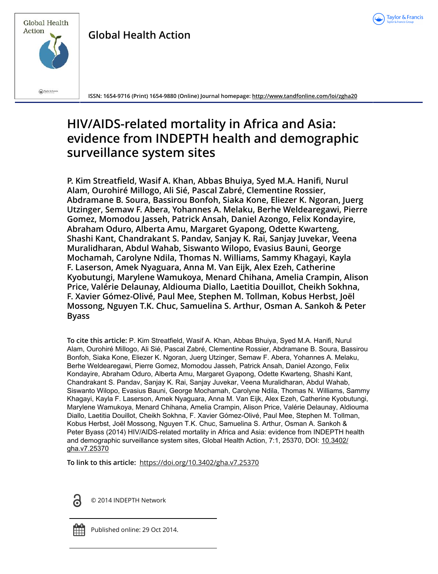

## **Global Health** Action C Taylor & Fra

**Global Health Action**

**ISSN: 1654-9716 (Print) 1654-9880 (Online) Journal homepage:<http://www.tandfonline.com/loi/zgha20>**

### **HIV/AIDS-related mortality in Africa and Asia: evidence from INDEPTH health and demographic surveillance system sites**

**P. Kim Streatfield, Wasif A. Khan, Abbas Bhuiya, Syed M.A. Hanifi, Nurul Alam, Ourohiré Millogo, Ali Sié, Pascal Zabré, Clementine Rossier, Abdramane B. Soura, Bassirou Bonfoh, Siaka Kone, Eliezer K. Ngoran, Juerg Utzinger, Semaw F. Abera, Yohannes A. Melaku, Berhe Weldearegawi, Pierre Gomez, Momodou Jasseh, Patrick Ansah, Daniel Azongo, Felix Kondayire, Abraham Oduro, Alberta Amu, Margaret Gyapong, Odette Kwarteng, Shashi Kant, Chandrakant S. Pandav, Sanjay K. Rai, Sanjay Juvekar, Veena Muralidharan, Abdul Wahab, Siswanto Wilopo, Evasius Bauni, George Mochamah, Carolyne Ndila, Thomas N. Williams, Sammy Khagayi, Kayla F. Laserson, Amek Nyaguara, Anna M. Van Eijk, Alex Ezeh, Catherine Kyobutungi, Marylene Wamukoya, Menard Chihana, Amelia Crampin, Alison Price, Valérie Delaunay, Aldiouma Diallo, Laetitia Douillot, Cheikh Sokhna, F. Xavier Gómez-Olivé, Paul Mee, Stephen M. Tollman, Kobus Herbst, Joël Mossong, Nguyen T.K. Chuc, Samuelina S. Arthur, Osman A. Sankoh & Peter Byass**

**To cite this article:** P. Kim Streatfield, Wasif A. Khan, Abbas Bhuiya, Syed M.A. Hanifi, Nurul Alam, Ourohiré Millogo, Ali Sié, Pascal Zabré, Clementine Rossier, Abdramane B. Soura, Bassirou Bonfoh, Siaka Kone, Eliezer K. Ngoran, Juerg Utzinger, Semaw F. Abera, Yohannes A. Melaku, Berhe Weldearegawi, Pierre Gomez, Momodou Jasseh, Patrick Ansah, Daniel Azongo, Felix Kondayire, Abraham Oduro, Alberta Amu, Margaret Gyapong, Odette Kwarteng, Shashi Kant, Chandrakant S. Pandav, Sanjay K. Rai, Sanjay Juvekar, Veena Muralidharan, Abdul Wahab, Siswanto Wilopo, Evasius Bauni, George Mochamah, Carolyne Ndila, Thomas N. Williams, Sammy Khagayi, Kayla F. Laserson, Amek Nyaguara, Anna M. Van Eijk, Alex Ezeh, Catherine Kyobutungi, Marylene Wamukoya, Menard Chihana, Amelia Crampin, Alison Price, Valérie Delaunay, Aldiouma Diallo, Laetitia Douillot, Cheikh Sokhna, F. Xavier Gómez-Olivé, Paul Mee, Stephen M. Tollman, Kobus Herbst, Joël Mossong, Nguyen T.K. Chuc, Samuelina S. Arthur, Osman A. Sankoh & Peter Byass (2014) HIV/AIDS-related mortality in Africa and Asia: evidence from INDEPTH health and demographic surveillance system sites, Global Health Action, 7:1, 25370, DOI: [10.3402/](http://www.tandfonline.com/action/showCitFormats?doi=10.3402/gha.v7.25370) [gha.v7.25370](http://www.tandfonline.com/action/showCitFormats?doi=10.3402/gha.v7.25370)

**To link to this article:** <https://doi.org/10.3402/gha.v7.25370>



© 2014 INDEPTH Network

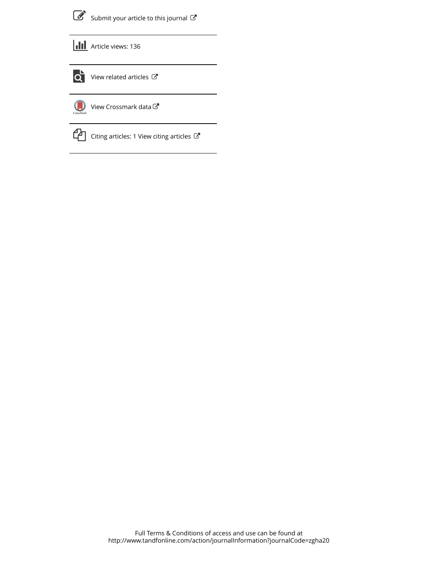

**III** Article views: 136



 $\overrightarrow{Q}$  [View related articles](http://www.tandfonline.com/doi/mlt/10.3402/gha.v7.25370)  $\overrightarrow{C}$ 



 $\bigcup_{\text{CrossMark}}$  [View Crossmark data](http://crossmark.crossref.org/dialog/?doi=10.3402/gha.v7.25370&domain=pdf&date_stamp=2014-10-29)  $\mathbb{Z}$ 

 $\mathbb{C}$  [Citing articles: 1 View citing articles](http://www.tandfonline.com/doi/citedby/10.3402/gha.v7.25370#tabModule)  $\mathbb{C}$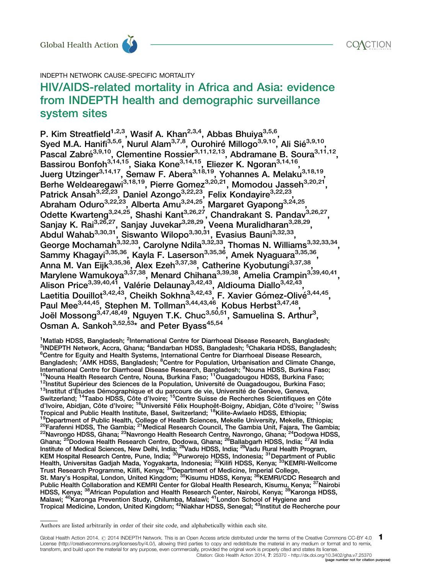

INDEPTH NETWORK CAUSE-SPECIFIC MORTALITY

# HIV/AIDS-related mortality in Africa and Asia: evidence from INDEPTH health and demographic surveillance system sites Global Health Action<br>
NDEPTH NETWORK CAUSE-SPECIFIC MORTALITY<br>
HIV/AIDS-related mortality in Africa and Asia: evidence

P. Kim Streatfield<sup>1,2,3</sup>, Wasif A. Khan<sup>2,3,4</sup>, Abbas Bhuiya<sup>3,5,6</sup>, Syed M.A. Hanifi<sup>3,5,6</sup>, Nurul Alam<sup>3,7,8</sup>, Ourohiré Millogo<sup>3,9,10</sup>, Ali Sié<sup>3,9,10</sup>, Pascal Zabré<sup>3,9,10</sup>, Clementine Rossier<sup>3,11,12,13</sup>, Abdramane B. Soura<sup>3,11,12</sup>, Bassirou Bonfoh<sup>3,14,15</sup>, Siaka Kone<sup>3,14,15</sup>, Eliezer K. Ngoran<sup>3,14,16</sup>, Juerg Utzinger<sup>3,14,17</sup>, Semaw F. Abera<sup>3,18,19</sup>, Yohannes A. Melaku<sup>3,18,19</sup>, Berhe Weldearegawi<sup>3,18,19</sup>, Pierre Gomez<sup>3,20,21</sup>, Momodou Jasseh<sup>3,20,21</sup>, Patrick Ansah<sup>3,22,23</sup>, Daniel Azongo<sup>3,22,23</sup>, Felix Kondayire<sup>3,22,23</sup>, Abraham Oduro<sup>3,22,23</sup>, Alberta Amu<sup>3,24,25</sup>, Margaret Gyapong<sup>3,24,25</sup>, Odette Kwarteng<sup>3,24,25</sup>, Shashi Kant<sup>3,26,27</sup>, Chandrakant S. Pandav<sup>3,26,27</sup>, Sanjay K. Rai<sup>3,26,27</sup>, Sanjay Juvekar<sup>3,28,29</sup>, Veena Muralidharan<sup>3,28,29</sup>, Abdul Wahab<sup>3,30,31</sup>, Siswanto Wilopo<sup>3,30,31</sup>, Evasius Bauni<sup>3,32,33</sup>, George Mochamah<sup>3,32,33</sup>, Carolyne Ndila<sup>3,32,33</sup>, Thomas N. Williams<sup>3,32,33,34</sup>, Sammy Khagayi<sup>3,35,36</sup>, Kayla F. Laserson<sup>3,35,36</sup>, Amek Nyaguara<sup>3,35,36</sup>, Anna M. Van Eijk<sup>3,35,36</sup>, Alex Ezeh<sup>3,37,38</sup>, Catherine Kyobutungi<sup>3,37,38</sup>, Marylene Wamukoya<sup>3,37,38</sup>, Menard Chihana<sup>3,39,38</sup>, Amelia Crampin<sup>3,39,40,41</sup>, Alison Price<sup>3,39,40,41</sup>, Valérie Delaunay<sup>3,42,43</sup>, Aldiouma Diallo<sup>3,42,43</sup>, Laetitia Douillot<sup>3,42,43</sup>, Cheikh Sokhna<sup>3,42,43</sup>, F. Xavier Gómez-Olivé<sup>3,44,45</sup>, Paul Mee<sup>3,44,45</sup>, Stephen M. Tollman<sup>3,44,43,46</sup>, Kobus Herbst<sup>3,47,48</sup>, Joël Mossong<sup>3,47,48,49</sup>, Nguyen T.K. Chuc<sup>3,50,51</sup>, Samuelina S. Arthur<sup>3</sup>, Osman A. Sankoh<sup>3,52,53</sup>\* and Peter Byass<sup>45,54</sup>

 $1$ Matlab HDSS, Bangladesh;  $^2$ 'Matlab HDSS, Bangladesh; <sup>∠</sup>International Centre for Diarrhoeal Disease Research, Bangladesh;<br><sup>3</sup>INDEPTH Network, Accra, Ghana; <sup>4</sup>Bandarban HDSS, Bangladesh; <sup>5</sup>Chakaria HDSS, Bangladesh;<br><sup>6</sup>Centre for Equity and Health Bangladesh; <sup>7</sup>AMK HDSS, Bangladesh; <sup>8</sup>Centre for Population, Urbanisation and Climate Change, International Centre for Diarrhoeal Disease Research, Bangladesh; <sup>9</sup>Nouna HDSS, Burkina Faso;<br><sup>10</sup>Nouna Health Research Centre, Nouna, Burkina Faso; <sup>11</sup>Ouagadougou HDSS, Burkina Faso; International Centre for Diarrhoeal Disease Research, Bangladesh; <sup>9</sup>Nouna HDSS, Burkina Faso;<br><sup>10</sup>Nouna Health Research Centre, Nouna, Burkina Faso; <sup>11</sup>Ouagadougou HDSS, Burkina Faso;<br><sup>12</sup>Institut Supérieur des Sciences Switzerland; <sup>14</sup>Taabo HDSS, Côte d'Ivoire; <sup>15</sup>Centre Suisse de Recherches Scientifiques en Côte d'Ivoire, Abidjan, Côte d'Ivoire; <sup>16</sup>Université Félix Houphoët-Boigny, Abidjan, Côte d<sup>'</sup>Ivoire; <sup>17</sup>Swiss Tropical and Public Health Institute, Basel, Switzerland; <sup>18</sup>Kilite-Awlaelo HDSS, Ethiopia;<br><sup>19</sup>Department of Public Health, College of Health Sciences, Mekelle University, Mekelle, Ethiopia;<br><sup>20</sup>Farafenni HDSS, The Gambi Ghana; <sup>25</sup>Dodowa Health Research Centre, Dodowa, Ghana; <sup>26</sup>Ballabgarh HDSS, India; <sup>27</sup>All India Institute of Medical Sciences, New Delhi, India; <sup>28</sup>Vadu HDSS, India; <sup>29</sup>Vadu Rural Health Program, KEM Hospital Research Centre, Pune, India; <sup>30</sup>Purworejo HDSS, Indonesia; <sup>31</sup>Department of Public Health, Universitas Gadjah Mada, Yogyakarta, Indonesia; <sup>32</sup>Kilifi HDSS, Kenya; <sup>33</sup>KEMRI-Wellcome Trust Research Programme, Kilifi, Kenya; <sup>34</sup>Department of Medicine, Imperial College, St. Mary's Hospital, London, United Kingdom; <sup>35</sup>Kisumu HDSS, Kenya; <sup>36</sup>KEMRI/CDC Research and Public Health Collaboration and KEMRI Center for Global Health Research, Kisumu, Kenya; <sup>37</sup>Nairobi HDSS, Kenya; <sup>38</sup>African Population and Health Research Center, Nairobi, Kenya; <sup>39</sup>Karonga HDSS, Malawi; <sup>40</sup>Karonga Prevention Study, Chilumba, Malawi; <sup>41</sup>London School of Hygiene and Tropical Medicine, London, United Kingdom; <sup>42</sup>Niakhar HDSS, Senegal; <sup>43</sup>Institut de Recherche pour

Global Health Action 2014.  $\odot$  2014 INDEPTH Network. This is an Open Access article distributed under the terms of the Creative Commons CC-BY 4.0  $\,$   $\,$   $\,$ License (http://creativecommons.org/licenses/by/4.0/), allowing third parties to copy and redistribute the material in any medium or format and to remix, transform, and build upon the material for any purpose, even commercially, provided the original work is properly cited and states its license. [Citation: Glob Health Action 2014,](http://www.globalhealthaction.net/index.php/gha/article/view/25370) 7: 25370 -<http://dx.doi.org/10.3402/gha.v7.25370> (page number not for citation purpose)

Authors are listed arbitrarily in order of their site code, and alphabetically within each site.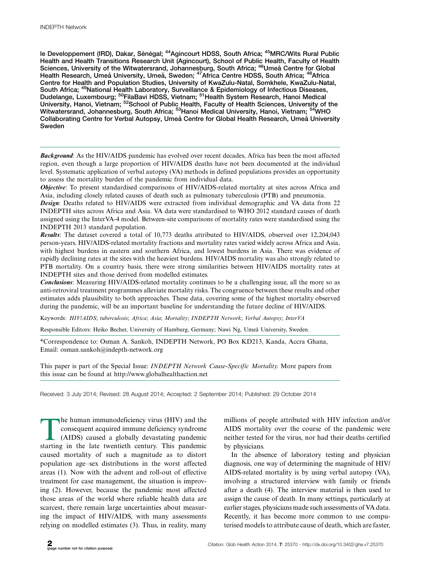<span id="page-3-0"></span>le Developpement (IRD), Dakar, Sénégal; <sup>44</sup>Agincourt HDSS, South Africa; <sup>45</sup>MRC/Wits Rural Public Health and Health Transitions Research Unit (Agincourt), School of Public Health, Faculty of Health Sciences, University of the Witwatersrand, Johannesburg, South Africa; <sup>46</sup>Umeå Centre for Global Health Research, Umeå University, Umeå, Sweden; <sup>47</sup>Africa Centre HDSS, South Africa; <sup>48</sup>Africa Centre for Health and Population Studies, University of KwaZulu-Natal, Somkhele, KwaZulu-Natal, South Africa; <sup>49</sup>National Health Laboratory, Surveillance & Epidemiology of Infectious Diseases, Dudelange, Luxembourg; <sup>50</sup>FilaBavi HDSS, Vietnam; <sup>51</sup>Health System Research, Hanoi Medical University, Hanoi, Vietnam; <sup>52</sup>School of Public Health, Faculty of Health Sciences, University of the Witwatersrand, Johannesburg, South Africa; <sup>53</sup>Hanoi Medical University, Hanoi, Vietnam; <sup>54</sup>WHO Collaborating Centre for Verbal Autopsy, Umeå Centre for Global Health Research, Umeå University Sweden

Background: As the HIV/AIDS pandemic has evolved over recent decades, Africa has been the most affected region, even though a large proportion of HIV/AIDS deaths have not been documented at the individual level. Systematic application of verbal autopsy (VA) methods in defined populations provides an opportunity to assess the mortality burden of the pandemic from individual data.

**Objective:** To present standardised comparisons of HIV/AIDS-related mortality at sites across Africa and Asia, including closely related causes of death such as pulmonary tuberculosis (PTB) and pneumonia.

**Design:** Deaths related to HIV/AIDS were extracted from individual demographic and VA data from 22 INDEPTH sites across Africa and Asia. VA data were standardised to WHO 2012 standard causes of death assigned using the InterVA-4 model. Between-site comparisons of mortality rates were standardised using the INDEPTH 2013 standard population.

Results: The dataset covered a total of 10,773 deaths attributed to HIV/AIDS, observed over 12,204,043 person-years. HIV/AIDS-related mortality fractions and mortality rates varied widely across Africa and Asia, with highest burdens in eastern and southern Africa, and lowest burdens in Asia. There was evidence of rapidly declining rates at the sites with the heaviest burdens. HIV/AIDS mortality was also strongly related to PTB mortality. On a country basis, there were strong similarities between HIV/AIDS mortality rates at INDEPTH sites and those derived from modelled estimates.

Conclusions: Measuring HIV/AIDS-related mortality continues to be a challenging issue, all the more so as anti-retroviral treatment programmes alleviate mortality risks. The congruence between these results and other estimates adds plausibility to both approaches. These data, covering some of the highest mortality observed during the pandemic, will be an important baseline for understanding the future decline of HIV/AIDS.

Keywords: HIV/AIDS; tuberculosis; Africa; Asia; Mortality; INDEPTH Network; Verbal Autopsy; InterVA

Responsible Editors: Heiko Becher, University of Hamburg, Germany; Nawi Ng, Umeå University, Sweden.

\*Correspondence to: Osman A. Sankoh, INDEPTH Network, PO Box KD213, Kanda, Accra Ghana, Email: osman.sankoh@indepth-network.org

This paper is part of the Special Issue: [INDEPTH Network Cause-Specific Mortality](http://www.globalhealthaction.net/index.php/gha/issue/view/1602#INDEPTH%20Network%20Cause-Specific%20Mortality). More papers from [this issue can be found at http://www.globalhealthaction.net](http://www.globalhealthaction.net/index.php/gha/issue/view/1602#INDEPTH%20Network%20Cause-Specific%20Mortality)

Received: 3 July 2014; Revised: 28 August 2014; Accepted: 2 September 2014; Published: 29 October 2014

The human immunodeficiency virus (HIV) and the consequent acquired immune deficiency syndrome (AIDS) caused a globally devastating pandemic starting in the late twentieth century. This pandemic caused mortality of such a magnitude as to distort population age-sex distributions in the worst affected areas (1). Now with the advent and roll-out of effective treatment for case management, the situation is improving (2). However, because the pandemic most affected those areas of the world where reliable health data are scarcest, there remain large uncertainties about measuring the impact of HIV/AIDS, with many assessments relying on modelled estimates (3). Thus, in reality, many

millions of people attributed with HIV infection and/or AIDS mortality over the course of the pandemic were neither tested for the virus, nor had their deaths certified by physicians.

In the absence of laboratory testing and physician diagnosis, one way of determining the magnitude of HIV/ AIDS-related mortality is by using verbal autopsy (VA), involving a structured interview with family or friends after a death (4). The interview material is then used to assign the cause of death. In many settings, particularly at earlier stages, physicians made such assessments of VA data. Recently, it has become more common to use computerised models to attribute cause of death, which are faster,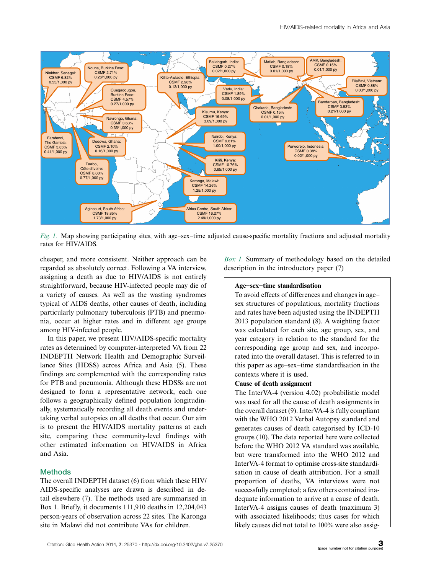

Fig. 1. Map showing participating sites, with age–sex–time adjusted cause-specific mortality fractions and adjusted mortality rates for HIV/AIDS.

cheaper, and more consistent. Neither approach can be regarded as absolutely correct. Following a VA interview, assigning a death as due to HIV/AIDS is not entirely straightforward, because HIV-infected people may die of a variety of causes. As well as the wasting syndromes typical of AIDS deaths, other causes of death, including particularly pulmonary tuberculosis (PTB) and pneumonia, occur at higher rates and in different age groups among HIV-infected people.

In this paper, we present HIV/AIDS-specific mortality rates as determined by computer-interpreted VA from 22 INDEPTH Network Health and Demographic Surveillance Sites (HDSS) across Africa and Asia (5). These findings are complemented with the corresponding rates for PTB and pneumonia. Although these HDSSs are not designed to form a representative network, each one follows a geographically defined population longitudinally, systematically recording all death events and undertaking verbal autopsies on all deaths that occur. Our aim is to present the HIV/AIDS mortality patterns at each site, comparing these community-level findings with other estimated information on HIV/AIDS in Africa and Asia.

#### **Methods**

The overall INDEPTH dataset (6) from which these HIV/ AIDS-specific analyses are drawn is described in detail elsewhere (7). The methods used are summarised in Box 1. Briefly, it documents 111,910 deaths in 12,204,043 person-years of observation across 22 sites. The Karonga site in Malawi did not contribute VAs for children.

Box 1. Summary of methodology based on the detailed description in the introductory paper (7)

#### Age-sex-time standardisation

To avoid effects of differences and changes in age sex structures of populations, mortality fractions and rates have been adjusted using the INDEPTH 2013 population standard (8). A weighting factor was calculated for each site, age group, sex, and year category in relation to the standard for the corresponding age group and sex, and incorporated into the overall dataset. This is referred to in this paper as age-sex-time standardisation in the contexts where it is used.

#### Cause of death assignment

The InterVA-4 (version 4.02) probabilistic model was used for all the cause of death assignments in the overall dataset (9). InterVA-4 is fully compliant with the WHO 2012 Verbal Autopsy standard and generates causes of death categorised by ICD-10 groups (10). The data reported here were collected before the WHO 2012 VA standard was available, but were transformed into the WHO 2012 and InterVA-4 format to optimise cross-site standardisation in cause of death attribution. For a small proportion of deaths, VA interviews were not successfully completed; a few others contained inadequate information to arrive at a cause of death. InterVA-4 assigns causes of death (maximum 3) with associated likelihoods; thus cases for which likely causes did not total to 100% were also assig-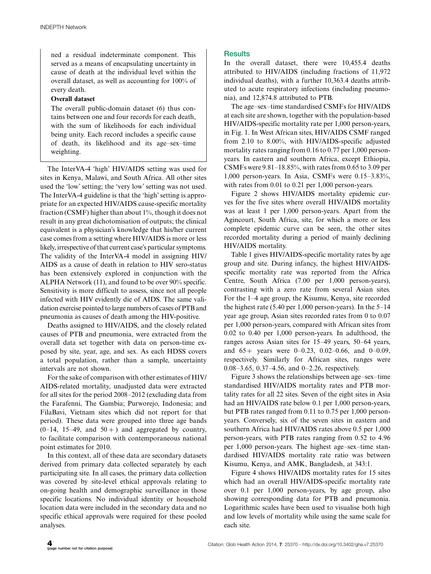ned a residual indeterminate component. This served as a means of encapsulating uncertainty in cause of death at the individual level within the overall dataset, as well as accounting for 100% of every death.

#### Overall dataset

The overall public-domain dataset (6) thus contains between one and four records for each death, with the sum of likelihoods for each individual being unity. Each record includes a specific cause of death, its likelihood and its age-sex-time weighting.

The InterVA-4 'high' HIV/AIDS setting was used for sites in Kenya, Malawi, and South Africa. All other sites used the 'low' setting; the 'very low' setting was not used. The InterVA-4 guideline is that the 'high' setting is appropriate for an expected HIV/AIDS cause-specific mortality fraction (CSMF) higher than about 1%, though it does not result in any great dichotomisation of outputs; the clinical equivalent is a physician's knowledge that his/her current case comes from a setting where HIV/AIDS is more or less likely, irrespective of that current case's particular symptoms. The validity of the InterVA-4 model in assigning HIV/ AIDS as a cause of death in relation to HIV sero-status has been extensively explored in conjunction with the ALPHA Network (11), and found to be over 90% specific. Sensitivity is more difficult to assess, since not all people infected with HIV evidently die of AIDS. The same validation exercise pointed to large numbers of cases of PTB and pneumonia as causes of death among the HIV-positive.

Deaths assigned to HIV/AIDS, and the closely related causes of PTB and pneumonia, were extracted from the overall data set together with data on person-time exposed by site, year, age, and sex. As each HDSS covers a total population, rather than a sample, uncertainty intervals are not shown.

For the sake of comparison with other estimates of HIV/ AIDS-related mortality, unadjusted data were extracted for all sites for the period 2008-2012 (excluding data from the Farafenni, The Gambia; Purworejo, Indonesia; and FilaBavi, Vietnam sites which did not report for that period). These data were grouped into three age bands  $(0-14, 15-49,$  and  $50+$ ) and aggregated by country, to facilitate comparison with contemporaneous national point estimates for 2010.

In this context, all of these data are secondary datasets derived from primary data collected separately by each participating site. In all cases, the primary data collection was covered by site-level ethical approvals relating to on-going health and demographic surveillance in those specific locations. No individual identity or household location data were included in the secondary data and no specific ethical approvals were required for these pooled analyses.

#### **Results**

In the overall dataset, there were 10,455.4 deaths attributed to HIV/AIDS (including fractions of 11,972 individual deaths), with a further 10,363.4 deaths attributed to acute respiratory infections (including pneumonia), and 12,874.8 attributed to PTB.

The age-sex-time standardised CSMFs for HIV/AIDS at each site are shown, together with the population-based HIV/AIDS-specific mortality rate per 1,000 person-years, in Fig. 1. In West African sites, HIV/AIDS CSMF ranged from 2.10 to 8.00%, with HIV/AIDS-specific adjusted mortality rates ranging from 0.16 to 0.77 per 1,000 personyears. In eastern and southern Africa, except Ethiopia, CSMFs were  $9.81-18.85\%$ , with rates from 0.65 to 3.09 per 1,000 person-years. In Asia, CSMFs were 0.15-3.83%, with rates from 0.01 to 0.21 per 1,000 person-years.

Figure 2 shows HIV/AIDS mortality epidemic curves for the five sites where overall HIV/AIDS mortality was at least 1 per 1,000 person-years. Apart from the Agincourt, South Africa, site, for which a more or less complete epidemic curve can be seen, the other sites recorded mortality during a period of mainly declining HIV/AIDS mortality.

Table 1 gives HIV/AIDS-specific mortality rates by age group and site. During infancy, the highest HIV/AIDSspecific mortality rate was reported from the Africa Centre, South Africa (7.00 per 1,000 person-years), contrasting with a zero rate from several Asian sites. For the 1-4 age group, the Kisumu, Kenya, site recorded the highest rate (5.40 per 1,000 person-years). In the 5-14 year age group, Asian sites recorded rates from 0 to 0.07 per 1,000 person-years, compared with African sites from 0.02 to 0.40 per 1,000 person-years. In adulthood, the ranges across Asian sites for 15-49 years, 50-64 years, and  $65+$  years were 0-0.23, 0.02-0.66, and 0-0.09, respectively. Similarly for African sites, ranges were 0.08-3.65, 0.37-4.56, and 0-2.26, respectively.

Figure 3 shows the relationships between age-sex-time standardised HIV/AIDS mortality rates and PTB mortality rates for all 22 sites. Seven of the eight sites in Asia had an HIV/AIDS rate below 0.1 per 1,000 person-years, but PTB rates ranged from 0.11 to 0.75 per 1,000 personyears. Conversely, six of the seven sites in eastern and southern Africa had HIV/AIDS rates above 0.5 per 1,000 person-years, with PTB rates ranging from 0.52 to 4.96 per 1,000 person-years. The highest age-sex-time standardised HIV/AIDS mortality rate ratio was between Kisumu, Kenya, and AMK, Bangladesh, at 343:1.

Figure 4 shows HIV/AIDS mortality rates for 15 sites which had an overall HIV/AIDS-specific mortality rate over 0.1 per 1,000 person-years, by age group, also showing corresponding data for PTB and pneumonia. Logarithmic scales have been used to visualise both high and low levels of mortality while using the same scale for each site.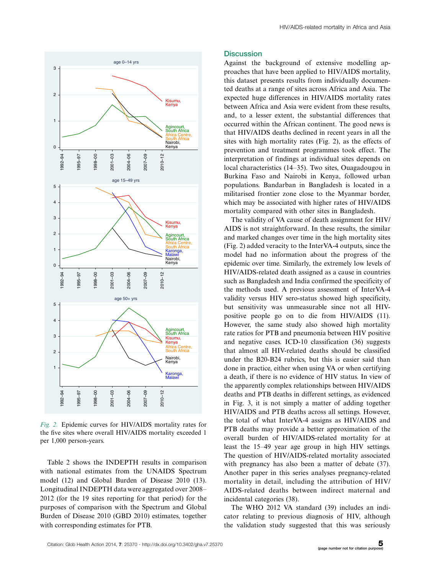

Fig. 2. Epidemic curves for HIV/AIDS mortality rates for the five sites where overall HIV/AIDS mortality exceeded 1 per 1,000 person-years.

Table 2 shows the INDEPTH results in comparison with national estimates from the UNAIDS Spectrum model (12) and Global Burden of Disease 2010 (13). Longitudinal INDEPTH data were aggregated over 2008- 2012 (for the 19 sites reporting for that period) for the purposes of comparison with the Spectrum and Global Burden of Disease 2010 (GBD 2010) estimates, together with corresponding estimates for PTB.

#### **Discussion**

Against the background of extensive modelling approaches that have been applied to HIV/AIDS mortality, this dataset presents results from individually documented deaths at a range of sites across Africa and Asia. The expected huge differences in HIV/AIDS mortality rates between Africa and Asia were evident from these results, and, to a lesser extent, the substantial differences that occurred within the African continent. The good news is that HIV/AIDS deaths declined in recent years in all the sites with high mortality rates (Fig. 2), as the effects of prevention and treatment programmes took effect. The interpretation of findings at individual sites depends on local characteristics (14-35). Two sites, Ouagadougou in Burkina Faso and Nairobi in Kenya, followed urban populations. Bandarban in Bangladesh is located in a militarised frontier zone close to the Myanmar border, which may be associated with higher rates of HIV/AIDS mortality compared with other sites in Bangladesh.

The validity of VA cause of death assignment for HIV/ AIDS is not straightforward. In these results, the similar and marked changes over time in the high mortality sites (Fig. 2) added veracity to the InterVA-4 outputs, since the model had no information about the progress of the epidemic over time. Similarly, the extremely low levels of HIV/AIDS-related death assigned as a cause in countries such as Bangladesh and India confirmed the specificity of the methods used. A previous assessment of InterVA-4 validity versus HIV sero-status showed high specificity, but sensitivity was unmeasurable since not all HIVpositive people go on to die from HIV/AIDS (11). However, the same study also showed high mortality rate ratios for PTB and pneumonia between HIV positive and negative cases. ICD-10 classification (36) suggests that almost all HIV-related deaths should be classified under the B20-B24 rubrics, but this is easier said than done in practice, either when using VA or when certifying a death, if there is no evidence of HIV status. In view of the apparently complex relationships between HIV/AIDS deaths and PTB deaths in different settings, as evidenced in Fig. 3, it is not simply a matter of adding together HIV/AIDS and PTB deaths across all settings. However, the total of what InterVA-4 assigns as HIV/AIDS and PTB deaths may provide a better approximation of the overall burden of HIV/AIDS-related mortality for at least the 15-49 year age group in high HIV settings. The question of HIV/AIDS-related mortality associated with pregnancy has also been a matter of debate (37). Another paper in this series analyses pregnancy-related mortality in detail, including the attribution of HIV/ AIDS-related deaths between indirect maternal and incidental categories (38).

The WHO 2012 VA standard (39) includes an indicator relating to previous diagnosis of HIV, although the validation study suggested that this was seriously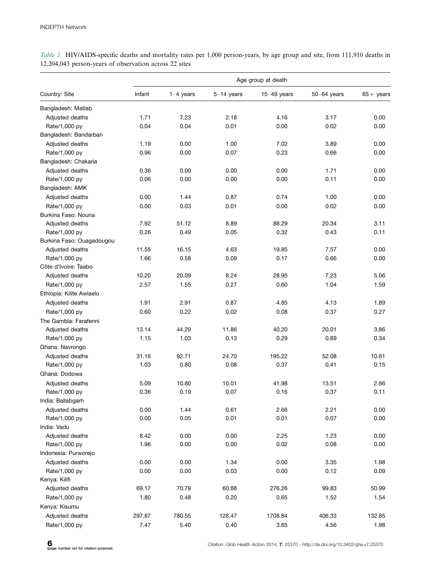|                           |        |             |              | Age group at death |               |             |
|---------------------------|--------|-------------|--------------|--------------------|---------------|-------------|
| Country: Site             | Infant | $1-4$ years | $5-14$ years | $15-49$ years      | $50-64$ years | $65+$ years |
| Bangladesh: Matlab        |        |             |              |                    |               |             |
| Adjusted deaths           | 1.71   | 7.23        | 2.18         | 4.16               | 3.17          | 0.00        |
| Rate/1,000 py             | 0.04   | 0.04        | 0.01         | 0.00               | 0.02          | 0.00        |
| Bangladesh: Bandarban     |        |             |              |                    |               |             |
| Adjusted deaths           | 1.19   | 0.00        | 1.00         | 7.02               | 3.89          | 0.00        |
| Rate/1,000 py             | 0.96   | 0.00        | 0.07         | 0.23               | 0.66          | 0.00        |
| Bangladesh: Chakaria      |        |             |              |                    |               |             |
| Adjusted deaths           | 0.36   | 0.00        | 0.00         | 0.00               | 1.71          | 0.00        |
| Rate/1,000 py             | 0.06   | 0.00        | 0.00         | 0.00               | 0.11          | 0.00        |
| Bangladesh: AMK           |        |             |              |                    |               |             |
| Adjusted deaths           | 0.00   | 1.44        | 0.87         | 0.74               | 1.00          | 0.00        |
| Rate/1,000 py             | 0.00   | 0.03        | 0.01         | 0.00               | 0.02          | 0.00        |
| Burkina Faso: Nouna       |        |             |              |                    |               |             |
| Adjusted deaths           | 7.92   | 51.12       | 8.89         | 88.29              | 20.34         | 3.11        |
| Rate/1,000 py             | 0.26   | 0.49        | 0.05         | 0.32               | 0.43          | 0.11        |
| Burkina Faso: Ouagadougou |        |             |              |                    |               |             |
| Adjusted deaths           | 11.55  | 16.15       | 4.63         | 19.85              | 7.57          | 0.00        |
| Rate/1,000 py             | 1.66   | 0.58        | 0.09         | 0.17               | 0.66          | 0.00        |
| Côte d'Ivoire: Taabo      |        |             |              |                    |               |             |
| Adjusted deaths           | 10.20  | 20.09       | 8.24         | 28.95              | 7.23          | 5.06        |
| Rate/1,000 py             | 2.57   | 1.55        | 0.27         | 0.60               | 1.04          | 1.59        |
| Ethiopia: Kilite Awlaelo  |        |             |              |                    |               |             |
| Adjusted deaths           | 1.91   | 2.91        | 0.87         | 4.85               | 4.13          | 1.89        |
| Rate/1,000 py             | 0.60   | 0.22        | 0.02         | 0.08               | 0.37          | 0.27        |
| The Gambia: Farafenni     |        |             |              |                    |               |             |
| Adjusted deaths           | 13.14  | 44.29       | 11.86        | 40.20              | 20.01         | 3.86        |
| Rate/1,000 py             | 1.15   | 1.03        | 0.13         | 0.29               | 0.89          | 0.34        |
| Ghana: Navrongo           |        |             |              |                    |               |             |
| Adjusted deaths           | 31.16  | 92.71       | 24.70        | 195.22             | 52.08         | 10.61       |
| Rate/1,000 py             | 1.03   | 0.80        | 0.08         | 0.37               | 0.41          | 0.15        |
| Ghana: Dodowa             |        |             |              |                    |               |             |
| Adjusted deaths           | 5.09   | 10.80       | 10.01        | 41.98              | 13.51         | 2.86        |
| Rate/1,000 py             | 0.36   | 0.19        | 0.07         | 0.16               | 0.37          | 0.11        |
| India: Ballabgarh         |        |             |              |                    |               |             |
| Adjusted deaths           | 0.00   | 1.44        | 0.61         | 2.66               | 2.21          | 0.00        |
| Rate/1,000 py             | 0.00   | 0.05        | 0.01         | 0.01               | 0.07          | 0.00        |
| India: Vadu               |        |             |              |                    |               |             |
| Adjusted deaths           | 8.42   | 0.00        | 0.00         | 2.25               | 1.23          | 0.00        |
| Rate/1,000 py             | 1.96   | 0.00        | 0.00         | 0.02               | 0.08          | 0.00        |
| Indonesia: Purworejo      |        |             |              |                    |               |             |
| Adjusted deaths           | 0.00   | 0.00        | 1.34         | 0.00               | 3.35          | 1.98        |
| Rate/1,000 py             | 0.00   | 0.00        | 0.03         | 0.00               | 0.12          | 0.09        |
| Kenya: Kilifi             |        |             |              |                    |               |             |
| Adjusted deaths           | 69.17  | 70.79       | 60.88        | 276.26             | 99.83         | 50.99       |
| Rate/1,000 py             | 1.80   | 0.48        | 0.20         | 0.65               | 1.52          | 1.54        |
| Kenya: Kisumu             |        |             |              |                    |               |             |
| Adjusted deaths           | 297.87 | 780.55      | 128.47       | 1708.84            | 406.33        | 132.85      |
| Rate/1,000 py             | 7.47   | 5.40        | 0.40         | 3.65               | 4.56          | 1.98        |
|                           |        |             |              |                    |               |             |

Table 1. HIV/AIDS-specific deaths and mortality rates per 1,000 person-years, by age group and site, from 111,910 deaths in 12,204,043 person-years of observation across 22 sites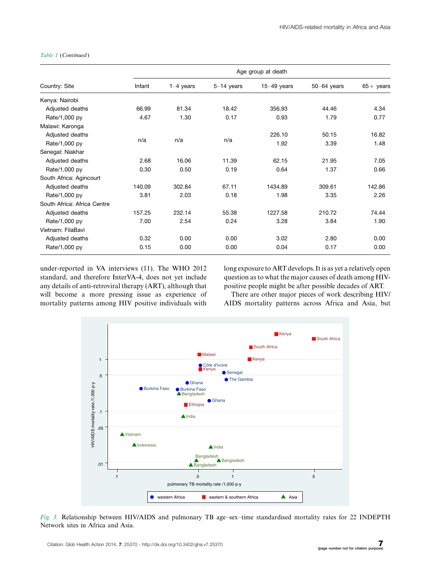|  | Table 1 (Continued) |
|--|---------------------|
|--|---------------------|

|                             |        |             |              | Age group at death |                 |             |
|-----------------------------|--------|-------------|--------------|--------------------|-----------------|-------------|
| Country: Site               | Infant | $1-4$ years | $5-14$ years | $15-49$ years      | $50 - 64$ years | $65+$ years |
| Kenya: Nairobi              |        |             |              |                    |                 |             |
| Adjusted deaths             | 66.99  | 81.34       | 18.42        | 356.93             | 44.46           | 4.34        |
| Rate/1,000 py               | 4.67   | 1.30        | 0.17         | 0.93               | 1.79            | 0.77        |
| Malawi: Karonga             |        |             |              |                    |                 |             |
| Adjusted deaths             |        |             |              | 226.10             | 50.15           | 16.82       |
| Rate/1,000 py               | n/a    | n/a         | n/a          | 1.92               | 3.39            | 1.48        |
| Senegal: Niakhar            |        |             |              |                    |                 |             |
| Adjusted deaths             | 2.68   | 16.06       | 11.39        | 62.15              | 21.95           | 7.05        |
| Rate/1,000 py               | 0.30   | 0.50        | 0.19         | 0.64               | 1.37            | 0.66        |
| South Africa: Agincourt     |        |             |              |                    |                 |             |
| Adjusted deaths             | 140.09 | 302.84      | 67.11        | 1434.89            | 309.61          | 142.86      |
| Rate/1,000 py               | 3.81   | 2.03        | 0.18         | 1.98               | 3.35            | 2.26        |
| South Africa: Africa Centre |        |             |              |                    |                 |             |
| Adjusted deaths             | 157.25 | 232.14      | 55.38        | 1227.58            | 210.72          | 74.44       |
| Rate/1,000 py               | 7.00   | 2.54        | 0.24         | 3.28               | 3.84            | 1.90        |
| Vietnam: FilaBavi           |        |             |              |                    |                 |             |
| Adjusted deaths             | 0.32   | 0.00        | 0.00         | 3.02               | 2.80            | 0.00        |
| Rate/1,000 py               | 0.15   | 0.00        | 0.00         | 0.04               | 0.17            | 0.00        |

under-reported in VA interviews (11). The WHO 2012 standard, and therefore InterVA-4, does not yet include any details of anti-retroviral therapy (ART), although that will become a more pressing issue as experience of mortality patterns among HIV positive individuals with

long exposure to ART develops. It is as yet a relatively open question as to what the major causes of death among HIVpositive people might be after possible decades of ART.

There are other major pieces of work describing HIV/ AIDS mortality patterns across Africa and Asia, but



Fig. 3. Relationship between HIV/AIDS and pulmonary TB age-sex-time standardised mortality rates for 22 INDEPTH Network sites in Africa and Asia.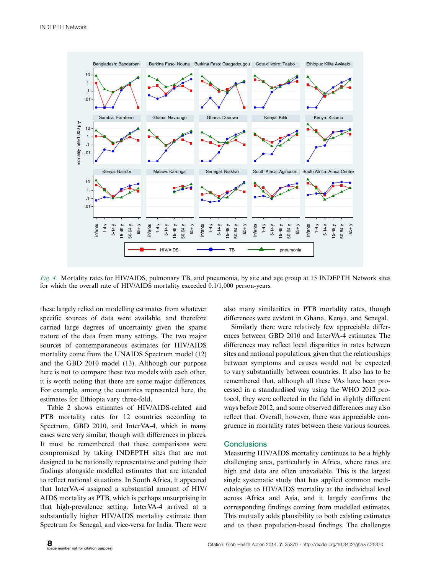

Fig. 4. Mortality rates for HIV/AIDS, pulmonary TB, and pneumonia, by site and age group at 15 INDEPTH Network sites for which the overall rate of HIV/AIDS mortality exceeded 0.1/1,000 person-years.

these largely relied on modelling estimates from whatever specific sources of data were available, and therefore carried large degrees of uncertainty given the sparse nature of the data from many settings. The two major sources of contemporaneous estimates for HIV/AIDS mortality come from the UNAIDS Spectrum model (12) and the GBD 2010 model (13). Although our purpose here is not to compare these two models with each other, it is worth noting that there are some major differences. For example, among the countries represented here, the estimates for Ethiopia vary three-fold.

Table 2 shows estimates of HIV/AIDS-related and PTB mortality rates for 12 countries according to Spectrum, GBD 2010, and InterVA-4, which in many cases were very similar, though with differences in places. It must be remembered that these comparisons were compromised by taking INDEPTH sites that are not designed to be nationally representative and putting their findings alongside modelled estimates that are intended to reflect national situations. In South Africa, it appeared that InterVA-4 assigned a substantial amount of HIV/ AIDS mortality as PTB, which is perhaps unsurprising in that high-prevalence setting. InterVA-4 arrived at a substantially higher HIV/AIDS mortality estimate than Spectrum for Senegal, and vice-versa for India. There were also many similarities in PTB mortality rates, though differences were evident in Ghana, Kenya, and Senegal.

Similarly there were relatively few appreciable differences between GBD 2010 and InterVA-4 estimates. The differences may reflect local disparities in rates between sites and national populations, given that the relationships between symptoms and causes would not be expected to vary substantially between countries. It also has to be remembered that, although all these VAs have been processed in a standardised way using the WHO 2012 protocol, they were collected in the field in slightly different ways before 2012, and some observed differences may also reflect that. Overall, however, there was appreciable congruence in mortality rates between these various sources.

#### **Conclusions**

Measuring HIV/AIDS mortality continues to be a highly challenging area, particularly in Africa, where rates are high and data are often unavailable. This is the largest single systematic study that has applied common methodologies to HIV/AIDS mortality at the individual level across Africa and Asia, and it largely confirms the corresponding findings coming from modelled estimates. This mutually adds plausibility to both existing estimates and to these population-based findings. The challenges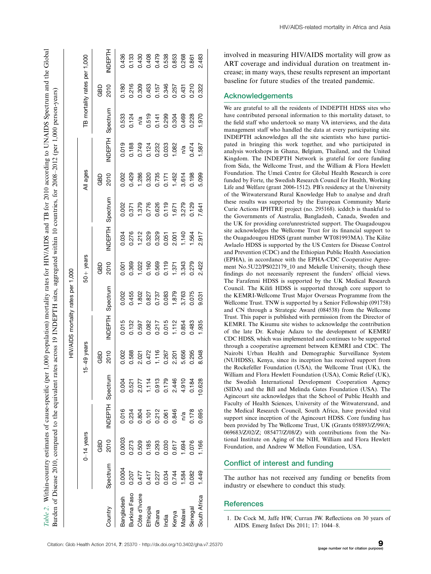| ;<br>;<br>;<br>i                                                                                                                                                   |                                                                   |
|--------------------------------------------------------------------------------------------------------------------------------------------------------------------|-------------------------------------------------------------------|
|                                                                                                                                                                    | ֖֖֖֖֖֖֚֚֚֚֚֚֘֝֘֝֬<br>֧֚֚֝<br>֧֖֧֚֚֚֚֚֚֚֚֚֚֚֚֚֚֚֚֚֚֚֚֚֚֚֚֚֝֬֡֡֡֬֝֬ |
|                                                                                                                                                                    |                                                                   |
| $\sim$ TNIAIDS Spacification                                                                                                                                       | i<br>>>>>                                                         |
|                                                                                                                                                                    |                                                                   |
|                                                                                                                                                                    |                                                                   |
|                                                                                                                                                                    | $\frac{1}{2}$ countries for 2008 2012 (per 1.000                  |
| Alternative contract of the state of Structure of the state of the state of the state of the state of the state of $\sim$<br>$\alpha$ HIV/AIDS and TR for 2010 ago |                                                                   |
|                                                                                                                                                                    | I sitas accreacetad within 10.                                    |
|                                                                                                                                                                    |                                                                   |
|                                                                                                                                                                    | $\alpha$ in ININIPTER $\alpha$                                    |
| $\mathbb{I}$ and an interval most                                                                                                                                  |                                                                   |
| $\sim$ $ \sim$ $ \sim$ $-$                                                                                                                                         |                                                                   |
| Ş                                                                                                                                                                  |                                                                   |
|                                                                                                                                                                    |                                                                   |
|                                                                                                                                                                    | .<br>.                                                            |
| く じくそしてき そしく こうそくてき                                                                                                                                                |                                                                   |
|                                                                                                                                                                    |                                                                   |
|                                                                                                                                                                    | 5.5001                                                            |
|                                                                                                                                                                    |                                                                   |

 $\equiv$ 

|                     |                         |                |                                           |                         |                | HIV/AIDS mortality rates per 1,000 |                                            |                                   |                               |          |                         |                                  |                         |                              |                |
|---------------------|-------------------------|----------------|-------------------------------------------|-------------------------|----------------|------------------------------------|--------------------------------------------|-----------------------------------|-------------------------------|----------|-------------------------|----------------------------------|-------------------------|------------------------------|----------------|
|                     |                         | $0-14$ years   |                                           |                         | $5-49$ years   |                                    |                                            | $50 +$ years                      |                               |          | All ages                |                                  |                         | TB mortality rates per 1,000 |                |
| <b>Country</b>      | Spectrum                | 2010<br>GBD    | INDEPTH Spectrum                          |                         | 2010<br>GBD    | <b>NDEPTH</b>                      | Spectrum                                   | 2010<br>GBD                       | <b>NDEPTH</b>                 | Spectrum | 2010<br>GBD             | <b>NDEPTH</b>                    | Spectrum                | 2010<br>GBD                  | <b>INDEPTH</b> |
| angladesh           | 0.0004                  | 0.0003         | 0.016                                     | 0.004                   | 0.002          | 0.015                              | 0.002                                      | 1.001                             | 0.034                         | 0.02     | 0.002                   | 0.019                            | 0.533                   | 0.180                        | 0.436          |
| <b>Surkina</b> Faso | 0.207                   | 0.273          | 0.234                                     | 0.521                   | 0.588          | 0.132                              | 0.455                                      | 0.369                             | 0.276                         | 0.371    | 0.429                   | 0.188                            | 0.124                   | 0.216                        | 0.133          |
| Côte d'Ivoire       |                         |                |                                           |                         | 2.021          | 0.597                              | 1.802                                      | 1.022                             | 1.212                         | 1.379    | 1.286                   |                                  | n/a                     | 0.309                        | 0.430          |
| Ethiopia            | 0.477<br>0.417<br>0.227 | 0.509<br>0.185 |                                           | 2.077<br>1.114<br>0.913 | 0.472<br>1.116 | 0.082                              |                                            | 0.160                             |                               | 0.776    | 0.320                   |                                  |                         |                              |                |
| Ghana               |                         | 0.293          |                                           |                         |                |                                    |                                            |                                   | 0.329<br>0.329                |          |                         |                                  |                         |                              | 0.479          |
| India               |                         | 0.030          | 0.804<br>0.101<br>0.212<br>0.061<br>0.846 | 0.179<br>2.446          | 0.267          | 0.217<br>0.015<br>1.112<br>0.854   | 0.827<br>0.737<br>0.083<br>1.8763<br>0.075 | 0.569<br>0.119<br>1.3743<br>3.343 |                               | 0.626    | 0.735<br>0.171<br>1.452 | 0.749<br>0.124<br>0.033<br>0.082 | 0.519<br>0.141<br>0.299 | 0.453<br>0.157<br>0.346      | 0.538          |
| Kenya               | 0.034<br>0.744<br>1.584 | 0.617          |                                           |                         | 2.201          |                                    |                                            |                                   | $0.051$<br>$2.001$<br>$1.140$ | 1.671    |                         |                                  | 0.304<br>0.469          | 0.257<br>0.431               | 0.853          |
| Vlalawi             |                         | 1.694          | $^{1/2}_{0.178}$                          | 4.910                   | 5.656          |                                    |                                            |                                   |                               | 3.279    | 3.614                   | $n/a$<br>0.474                   |                         |                              | 0.268          |
| Senegal             | 0.082                   | 0.076          |                                           | 0.184                   | 0.295          | 0.483                              |                                            | 0.279                             | 1.564                         | 0.129    | 1,198                   |                                  | 0.228                   | 0.210                        | 0.861          |
| South Africa        | 1.449                   | 1.166          | 0.695                                     | 0.628                   | 8.048          | 1.935                              | 9.031                                      | 2.422                             | 2.917                         | 7.641    | 5.099                   | 1.587                            | 1.970                   | 0.322                        | 2.483          |

involved in measuring HIV/AIDS mortality will grow as ART coverage and individual duration on treatment increase; in many ways, these results represent an important baseline for future studies of the treated pandemic.

#### Acknowledgements

We are grateful to all the residents of INDEPTH HDSS sites who have contributed personal information to this mortality dataset, to the field staff who undertook so many VA interviews, and the data management staff who handled the data at every participating site. INDEPTH acknowledges all the site scientists who have participated in bringing this work together, and who participated in analysis workshops in Ghana, Belgium, Thailand, and the United Kingdom. The INDEPTH Network is grateful for core funding from Sida, the Wellcome Trust, and the William & Flora Hewlett Foundation. The Umeå Centre for Global Health Research is core funded by Forte, the Swedish Research Council for Health, Working Life and Welfare (grant 2006-1512). PB's residency at the University of the Witwatersrand Rural Knowledge Hub to analyse and draft these results was supported by the European Community Marie Curie Actions IPHTRE project (no. 295168). icddr,b is thankful to the Governments of Australia, Bangladesh, Canada, Sweden and the UK for providing core/unrestricted support. The Ouagadougou site acknowledges the Wellcome Trust for its financial support to the Ouagadougou HDSS (grant number WT081993MA). The Kilite Awlaelo HDSS is supported by the US Centers for Disease Control and Prevention (CDC) and the Ethiopian Public Health Association (EPHA), in accordance with the EPHA-CDC Cooperative Agreement No.5U22/PS022179\_10 and Mekelle University, though these findings do not necessarily represent the funders' official views. The Farafenni HDSS is supported by the UK Medical Research Council. The Kilifi HDSS is supported through core support to the KEMRI-Wellcome Trust Major Overseas Programme from the Wellcome Trust. TNW is supported by a Senior Fellowship (091758) and CN through a Strategic Award (084538) from the Wellcome Trust. This paper is published with permission from the Director of KEMRI. The Kisumu site wishes to acknowledge the contribution of the late Dr. Kubaje Adazu to the development of KEMRI/ CDC HDSS, which was implemented and continues to be supported through a cooperative agreement between KEMRI and CDC. The Nairobi Urban Health and Demographic Surveillance System (NUHDSS), Kenya, since its inception has received support from the Rockefeller Foundation (USA), the Wellcome Trust (UK), the William and Flora Hewlett Foundation (USA), Comic Relief (UK), the Swedish International Development Cooperation Agency (SIDA) and the Bill and Melinda Gates Foundation (USA). The Agincourt site acknowledges that the School of Public Health and Faculty of Health Sciences, University of the Witwatersrand, and the Medical Research Council, South Africa, have provided vital support since inception of the Agincourt HDSS. Core funding has been provided by The Wellcome Trust, UK (Grants 058893/Z/99/A; 069683/Z/02/Z; 085477/Z/08/Z) with contributions from the National Institute on Aging of the NIH, William and Flora Hewlett Foundation, and Andrew W Mellon Foundation, USA.

#### Conflict of interest and funding

The author has not received any funding or benefits from industry or elsewhere to conduct this study.

#### **References**

<sup>1.</sup> De Cock M, Jaffe HW, Curran JW. Reflections on 30 years of AIDS. Emerg Infect Dis 2011; 17: 1044-8.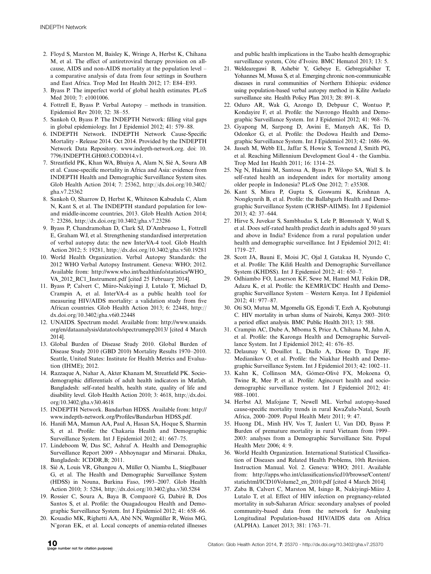- 2. Floyd S, Marston M, Baisley K, Wringe A, Herbst K, Chihana M, et al. The effect of antiretroviral therapy provision on allcause, AIDS and non-AIDS mortality at the population level a comparative analysis of data from four settings in Southern and East Africa. Trop Med Int Health 2012; 17: E84-E93.
- 3. Byass P. The imperfect world of global health estimates. PLoS Med 2010; 7: e1001006.
- 4. Fottrell E, Byass P. Verbal Autopsy methods in transition. Epidemiol Rev 2010; 32: 38-55.
- 5. Sankoh O, Byass P. The INDEPTH Network: filling vital gaps in global epidemiology. Int J Epidemiol 2012; 41: 579-88.
- 6. INDEPTH Network. INDEPTH Network Cause-Specific Mortality - Release 2014. Oct 2014. Provided by the INDEPTH Network Data Repository. [www.indepth-network.org](http://www.indepth-network.org). doi: 10. 7796/INDEPTH.GH003.COD2014.v1.
- 7. Streatfield PK, Khan WA, Bhuiya A, Alam N, Sié A, Soura AB et al. Cause-specific mortality in Africa and Asia: evidence from INDEPTH Health and Demographic Surveillance System sites. Glob Health Action 2014; 7: 25362, [http://dx.doi.org/10.3402/](http://dx.doi.org/10.3402/gha.v7.25362) [gha.v7.25362](http://dx.doi.org/10.3402/gha.v7.25362)
- 8. Sankoh O, Sharrow D, Herbst K, Whiteson Kabudula C, Alam N, Kant S, et al. The INDEPTH standard population for lowand middle-income countries, 2013. Glob Health Action 2014; 7: 23286,<http://dx.doi.org/10.3402/gha.v7.23286>
- 9. Byass P, Chandramohan D, Clark SJ, D'Ambruoso L, Fottrell E, Graham WJ, et al. Strengthening standardised interpretation of verbal autopsy data: the new InterVA-4 tool. Glob Health Action 2012; 5: 19281,<http://dx.doi.org/10.3402/gha.v5i0.19281>
- 10. World Health Organization. Verbal Autopsy Standards: the 2012 WHO Verbal Autopsy Instrument. Geneva: WHO; 2012. Available from: [http://www.who.int/healthinfo/statistics/WHO\\_](http://www.who.int/healthinfo/statistics/WHO_VA_2012_RC1_Instrument.pdf) [VA\\_2012\\_RC1\\_Instrument.pdf](http://www.who.int/healthinfo/statistics/WHO_VA_2012_RC1_Instrument.pdf) [cited 25 February 2014].
- 11. Byass P, Calvert C, Miiro-Nakiyingi J, Lutalo T, Michael D, Crampin A, et al. InterVA-4 as a public health tool for measuring HIV/AIDS mortality: a validation study from five African countries. Glob Health Action 2013; 6: 22448, [http://](http://dx.doi.org/10.3402/gha.v6i0.22448) [dx.doi.org/10.3402/gha.v6i0.22448](http://dx.doi.org/10.3402/gha.v6i0.22448)
- 12. UNAIDS. Spectrum model. Available from: [http://www.unaids.](http://www.unaids.org/en/dataanalysis/datatools/spectrumepp2013/) [org/en/dataanalysis/datatools/spectrumepp2013/](http://www.unaids.org/en/dataanalysis/datatools/spectrumepp2013/) [cited 4 March 2014].
- 13. Global Burden of Disease Study 2010. Global Burden of Disease Study 2010 (GBD 2010) Mortality Results 1970-2010. Seattle, United States: Institute for Health Metrics and Evaluation (IHME); 2012.
- 14. Razzaque A, Nahar A, Akter Khanam M, Streatfield PK. Sociodemographic differentials of adult health indicators in Matlab, Bangladesh: self-rated health, health state, quality of life and disability level. Glob Health Action 2010; 3: 4618, [http://dx.doi.](http://dx.doi.org/10.3402/gha.v3i0.4618) [org/10.3402/gha.v3i0.4618](http://dx.doi.org/10.3402/gha.v3i0.4618)
- 15. INDEPTH Network. Bandarban HDSS. Available from: [http://](http://www.indepth-network.org/Profiles/Bandarban%20HDSS.pdf) [www.indepth-network.org/Profiles/Bandarban HDSS.pdf.](http://www.indepth-network.org/Profiles/Bandarban%20HDSS.pdf)
- 16. Hanifi MA, Mamun AA, Paul A, Hasan SA, Hoque S, Sharmin S, et al. Profile: the Chakaria Health and Demographic Surveillance System. Int J Epidemiol 2012; 41: 667-75.
- 17. Lindeboom W, Das SC, Ashraf A. Health and Demographic Surveillance Report 2009 - Abhoynagar and Mirsarai. Dhaka, Bangladesh: ICDDR,B; 2011.
- 18. Sié A, Louis VR, Gbangou A, Müller O, Niamba L, Stieglbauer G, et al. The Health and Demographic Surveillance System (HDSS) in Nouna, Burkina Faso, 1993-2007. Glob Health Action 2010; 3: 5284,<http://dx.doi.org/10.3402/gha.v3i0.5284>
- 19. Rossier C, Soura A, Baya B, Compaoré G, Dabiré B, Dos Santos S, et al. Profile: the Ouagadougou Health and Demographic Surveillance System. Int J Epidemiol 2012; 41: 658-66.
- 20. Kouadio MK, Righetti AA, Abé NN, Wegmüller R, Weiss MG, N'goran EK, et al. Local concepts of anemia-related illnesses

and public health implications in the Taabo health demographic surveillance system, Côte d'Ivoire. BMC Hematol 2013; 13: 5.

- 21. Weldearegawi B, Ashebir Y, Gebeye E, Gebregziabiher T, Yohannes M, Mussa S, et al. Emerging chronic non-communicable diseases in rural communities of Northern Ethiopia: evidence using population-based verbal autopsy method in Kilite Awlaelo surveillance site. Health Policy Plan 2013; 28: 891-8.
- 22. Oduro AR, Wak G, Azongo D, Debpuur C, Wontuo P, Kondayire F, et al. Profile: the Navrongo Health and Demographic Surveillance System. Int J Epidemiol 2012; 41: 968-76.
- 23. Gyapong M, Sarpong D, Awini E, Manyeh AK, Tei D, Odonkor G, et al. Profile: the Dodowa Health and Demographic Surveillance System. Int J Epidemiol 2013; 42: 1686-96.
- 24. Jasseh M, Webb EL, Jaffar S, Howie S, Townend J, Smith PG, et al. Reaching Millennium Development Goal 4 - the Gambia. Trop Med Int Health 2011; 16: 1314-25.
- 25. Ng N, Hakimi M, Santosa A, Byass P, Wilopo SA, Wall S. Is self-rated health an independent index for mortality among older people in Indonesia? PLoS One 2012; 7: e35308.
- 26. Kant S, Misra P, Gupta S, Goswami K, Krishnan A, Nongkynrih B, et al. Profile: the Ballabgarh Health and Demographic Surveillance System (CRHSP-AIIMS). Int J Epidemiol 2013; 42: 37-644.
- 27. Hirve S, Juvekar S, Sambhudas S, Lele P, Blomstedt Y, Wall S, et al. Does self-rated health predict death in adults aged 50 years and above in India? Evidence from a rural population under health and demographic surveillance. Int J Epidemiol 2012; 41: 1719-27.
- 28. Scott JA, Bauni E, Moisi JC, Ojal J, Gatakaa H, Nyundo C, et al. Profile: The Kilifi Health and Demographic Surveillance System (KHDSS). Int J Epidemiol 2012; 41: 650-7.
- 29. Odhiambo FO, Laserson KF, Sewe M, Hamel MJ, Feikin DR, Adazu K, et al. Profile: the KEMRI/CDC Health and Demographic Surveillance System - Western Kenya. Int J Epidemiol 2012; 41: 977-87.
- 30. Oti SO, Mutua M, Mgomella GS, Egondi T, Ezeh A, Kyobutungi C. HIV mortality in urban slums of Nairobi, Kenya 2003-2010: a period effect analysis. BMC Public Health 2013; 13: 588.
- 31. Crampin AC, Dube A, Mboma S, Price A, Chihana M, Jahn A, et al. Profile: the Karonga Health and Demographic Surveillance System. Int J Epidemiol 2012; 41: 676-85.
- 32. Delaunay V, Douillot L, Diallo A, Dione D, Trape JF, Medianikov O, et al. Profile: the Niakhar Health and Demographic Surveillance System. Int J Epidemiol 2013; 42: 1002-11.
- 33. Kahn K, Collinson MA, Gómez-Olivé FX, Mokoena O, Twine R, Mee P, et al. Profile: Agincourt health and sociodemographic surveillance system. Int J Epidemiol 2012; 41: 988-1001.
- 34. Herbst AJ, Mafojane T, Newell ML. Verbal autopsy-based cause-specific mortality trends in rural KwaZulu-Natal, South Africa, 2000-2009. Popul Health Metr 2011; 9: 47.
- 35. Huong DL, Minh HV, Vos T, Janlert U, Van DD, Byass P. Burden of premature mortality in rural Vietnam from 1999- 2003: analyses from a Demographic Surveillance Site. Popul Health Metr 2006; 4: 9.
- 36. World Health Organization. International Statistical Classification of Diseases and Related Health Problems, 10th Revision. Instruction Manual. Vol. 2. Geneva: WHO; 2011. Available from: [http://apps.who.int/classifications/icd10/browse/Content/](http://apps.who.int/classifications/icd10/browse/Content/statichtml/ICD10Volume2_en_2010.pdf) [statichtml/ICD10Volume2\\_en\\_2010.pdf](http://apps.who.int/classifications/icd10/browse/Content/statichtml/ICD10Volume2_en_2010.pdf) [cited 4 March 2014].
- 37. Zaba B, Calvert C, Marston M, Isingo R, Nakiyingi-Miiro J, Lutalo T, et al. Effect of HIV infection on pregnancy-related mortality in sub-Saharan Africa: secondary analyses of pooled community-based data from the network for Analysing Longitudinal Population-based HIV/AIDS data on Africa (ALPHA). Lancet 2013; 381: 1763-71.